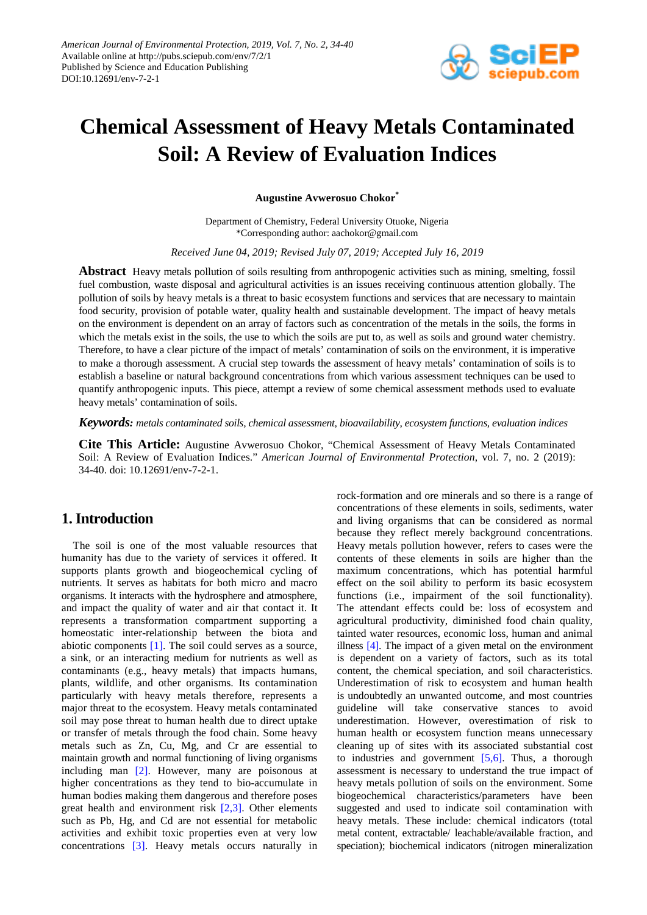

# **Chemical Assessment of Heavy Metals Contaminated Soil: A Review of Evaluation Indices**

**Augustine Avwerosuo Chokor\***

Department of Chemistry, Federal University Otuoke, Nigeria \*Corresponding author: aachokor@gmail.com

*Received June 04, 2019; Revised July 07, 2019; Accepted July 16, 2019*

**Abstract** Heavy metals pollution of soils resulting from anthropogenic activities such as mining, smelting, fossil fuel combustion, waste disposal and agricultural activities is an issues receiving continuous attention globally. The pollution of soils by heavy metals is a threat to basic ecosystem functions and services that are necessary to maintain food security, provision of potable water, quality health and sustainable development. The impact of heavy metals on the environment is dependent on an array of factors such as concentration of the metals in the soils, the forms in which the metals exist in the soils, the use to which the soils are put to, as well as soils and ground water chemistry. Therefore, to have a clear picture of the impact of metals' contamination of soils on the environment, it is imperative to make a thorough assessment. A crucial step towards the assessment of heavy metals' contamination of soils is to establish a baseline or natural background concentrations from which various assessment techniques can be used to quantify anthropogenic inputs. This piece, attempt a review of some chemical assessment methods used to evaluate heavy metals' contamination of soils.

*Keywords: metals contaminated soils, chemical assessment, bioavailability, ecosystem functions, evaluation indices*

**Cite This Article:** Augustine Avwerosuo Chokor, "Chemical Assessment of Heavy Metals Contaminated Soil: A Review of Evaluation Indices." *American Journal of Environmental Protection*, vol. 7, no. 2 (2019): 34-40. doi: 10.12691/env-7-2-1.

# **1. Introduction**

The soil is one of the most valuable resources that humanity has due to the variety of services it offered. It supports plants growth and biogeochemical cycling of nutrients. It serves as habitats for both micro and macro organisms. It interacts with the hydrosphere and atmosphere, and impact the quality of water and air that contact it. It represents a transformation compartment supporting a homeostatic inter-relationship between the biota and abiotic components [\[1\].](#page-4-0) The soil could serves as a source, a sink, or an interacting medium for nutrients as well as contaminants (e.g., heavy metals) that impacts humans, plants, wildlife, and other organisms. Its contamination particularly with heavy metals therefore, represents a major threat to the ecosystem. Heavy metals contaminated soil may pose threat to human health due to direct uptake or transfer of metals through the food chain. Some heavy metals such as Zn, Cu, Mg, and Cr are essential to maintain growth and normal functioning of living organisms including man [\[2\].](#page-5-0) However, many are poisonous at higher concentrations as they tend to bio-accumulate in human bodies making them dangerous and therefore poses great health and environment risk [\[2,3\].](#page-5-0) Other elements such as Pb, Hg, and Cd are not essential for metabolic activities and exhibit toxic properties even at very low concentrations [\[3\].](#page-5-1) Heavy metals occurs naturally in rock-formation and ore minerals and so there is a range of concentrations of these elements in soils, sediments, water and living organisms that can be considered as normal because they reflect merely background concentrations. Heavy metals pollution however, refers to cases were the contents of these elements in soils are higher than the maximum concentrations, which has potential harmful effect on the soil ability to perform its basic ecosystem functions (i.e., impairment of the soil functionality). The attendant effects could be: loss of ecosystem and agricultural productivity, diminished food chain quality, tainted water resources, economic loss, human and animal illness [\[4\].](#page-5-2) The impact of a given metal on the environment is dependent on a variety of factors, such as its total content, the chemical speciation, and soil characteristics. Underestimation of risk to ecosystem and human health is undoubtedly an unwanted outcome, and most countries guideline will take conservative stances to avoid underestimation. However, overestimation of risk to human health or ecosystem function means unnecessary cleaning up of sites with its associated substantial cost to industries and government  $[5,6]$ . Thus, a thorough assessment is necessary to understand the true impact of heavy metals pollution of soils on the environment. Some biogeochemical characteristics/parameters have been suggested and used to indicate soil contamination with heavy metals. These include: chemical indicators (total metal content, extractable/ leachable/available fraction, and speciation); biochemical indicators (nitrogen mineralization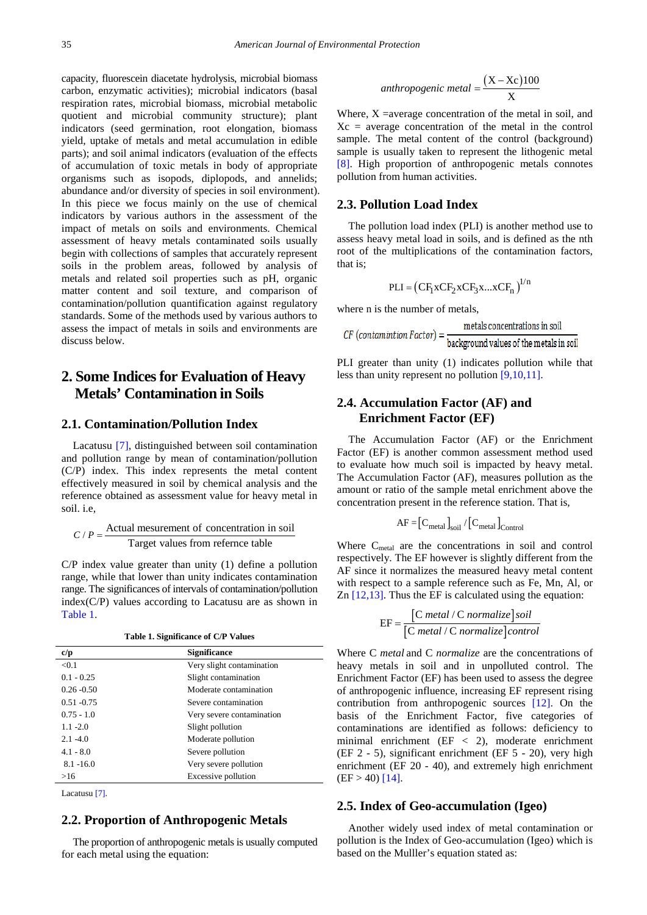capacity, fluorescein diacetate hydrolysis, microbial biomass carbon, enzymatic activities); microbial indicators (basal respiration rates, microbial biomass, microbial metabolic quotient and microbial community structure); plant indicators (seed germination, root elongation, biomass yield, uptake of metals and metal accumulation in edible parts); and soil animal indicators (evaluation of the effects of accumulation of toxic metals in body of appropriate organisms such as isopods, diplopods, and annelids; abundance and/or diversity of species in soil environment). In this piece we focus mainly on the use of chemical indicators by various authors in the assessment of the impact of metals on soils and environments. Chemical assessment of heavy metals contaminated soils usually begin with collections of samples that accurately represent soils in the problem areas, followed by analysis of metals and related soil properties such as pH, organic matter content and soil texture, and comparison of contamination/pollution quantification against regulatory standards. Some of the methods used by various authors to assess the impact of metals in soils and environments are discuss below.

# **2. Some Indices for Evaluation of Heavy Metals' Contamination in Soils**

#### **2.1. Contamination/Pollution Index**

Lacatusu [\[7\],](#page-5-4) distinguished between soil contamination and pollution range by mean of contamination/pollution (C/P) index. This index represents the metal content effectively measured in soil by chemical analysis and the reference obtained as assessment value for heavy metal in soil. i.e,

$$
C/P = \frac{\text{Actual measurement of concentration in soil}}{\text{Target values from reference table}}
$$

C/P index value greater than unity (1) define a pollution range, while that lower than unity indicates contamination range. The significances of intervals of contamination/pollution index(C/P) values according to Lacatusu are as shown in [Table 1.](#page-1-0)

|  |  | Table 1. Significance of C/P Values |  |  |  |
|--|--|-------------------------------------|--|--|--|
|--|--|-------------------------------------|--|--|--|

<span id="page-1-0"></span>

| c/p           | <b>Significance</b>       |
|---------------|---------------------------|
| < 0.1         | Very slight contamination |
| $0.1 - 0.25$  | Slight contamination      |
| $0.26 - 0.50$ | Moderate contamination    |
| $0.51 - 0.75$ | Severe contamination      |
| $0.75 - 1.0$  | Very severe contamination |
| $1.1 - 2.0$   | Slight pollution          |
| $2.1 - 4.0$   | Moderate pollution        |
| $4.1 - 8.0$   | Severe pollution          |
| $8.1 - 16.0$  | Very severe pollution     |
| >16           | Excessive pollution       |

Lacatus[u \[7\].](#page-5-4)

#### **2.2. Proportion of Anthropogenic Metals**

The proportion of anthropogenic metals is usually computed for each metal using the equation:

anthropogenic metal = 
$$
\frac{(X - Xc)100}{X}
$$

Where,  $X =$ average concentration of the metal in soil, and  $X_c$  = average concentration of the metal in the control sample. The metal content of the control (background) sample is usually taken to represent the lithogenic metal [\[8\].](#page-5-5) High proportion of anthropogenic metals connotes pollution from human activities.

#### **2.3. Pollution Load Index**

The pollution load index (PLI) is another method use to assess heavy metal load in soils, and is defined as the nth root of the multiplications of the contamination factors, that is;

$$
\text{PLI} = \left(CF_1xCF_2xCF_3x...xCF_n\right)^{1/n}
$$

where n is the number of metals,

$$
CF (contaminton Factor) = \frac{metals concentrations in soil}{background values of the metals in soil}
$$

PLI greater than unity (1) indicates pollution while that less than unity represent no pollutio[n \[9,10,11\].](#page-5-6)

#### **2.4. Accumulation Factor (AF) and Enrichment Factor (EF)**

The Accumulation Factor (AF) or the Enrichment Factor (EF) is another common assessment method used to evaluate how much soil is impacted by heavy metal. The Accumulation Factor (AF), measures pollution as the amount or ratio of the sample metal enrichment above the concentration present in the reference station. That is,

$$
AF = \left[ C_{\text{metal}} \right]_{\text{soil}} / \left[ C_{\text{metal}} \right]_{\text{Control}}
$$

Where  $C_{\text{metal}}$  are the concentrations in soil and control respectively. The EF however is slightly different from the AF since it normalizes the measured heavy metal content with respect to a sample reference such as Fe, Mn, Al, or Zn  $[12,13]$ . Thus the EF is calculated using the equation:

$$
EF = \frac{[C \text{ metal } / C \text{ normalize}] \text{ soil}}{[C \text{ metal } / C \text{ normalize}] \text{control}}
$$

Where C *metal* and C *normalize* are the concentrations of heavy metals in soil and in unpolluted control. The Enrichment Factor (EF) has been used to assess the degree of anthropogenic influence, increasing EF represent rising contribution from anthropogenic sources [\[12\].](#page-5-7) On the basis of the Enrichment Factor, five categories of contaminations are identified as follows: deficiency to minimal enrichment (EF < 2), moderate enrichment (EF 2 - 5), significant enrichment (EF 5 - 20), very high enrichment (EF 20 - 40), and extremely high enrichment  $(EF > 40)$  [14].

#### **2.5. Index of Geo-accumulation (Igeo)**

Another widely used index of metal contamination or pollution is the Index of Geo-accumulation (Igeo) which is based on the Mulller's equation stated as: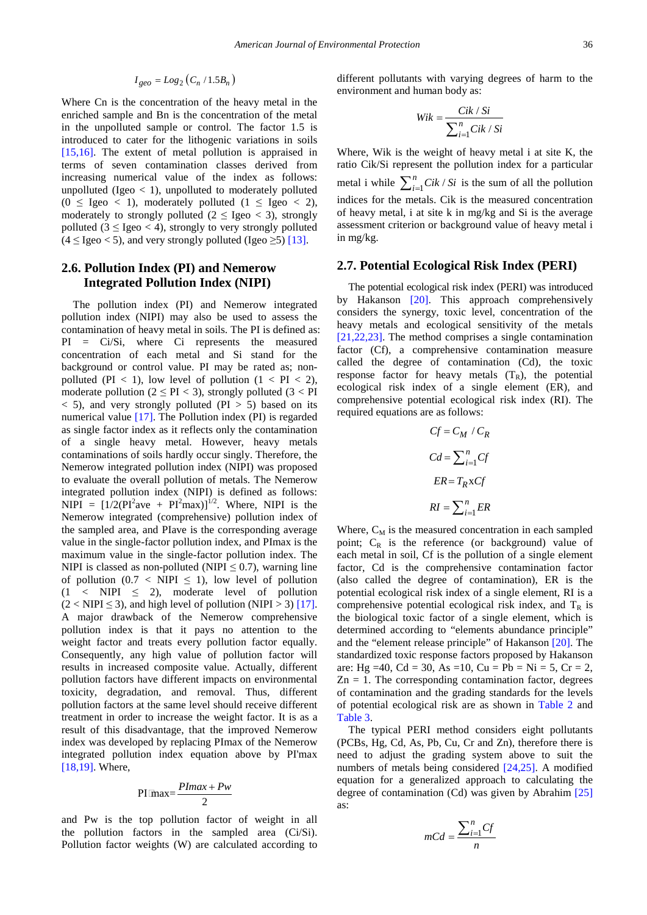$$
I_{geo} = Log_2(C_n / 1.5B_n)
$$

Where Cn is the concentration of the heavy metal in the enriched sample and Bn is the concentration of the metal in the unpolluted sample or control. The factor 1.5 is introduced to cater for the lithogenic variations in soils [\[15,16\].](#page-5-9) The extent of metal pollution is appraised in terms of seven contamination classes derived from increasing numerical value of the index as follows: unpolluted (Igeo  $<$  1), unpolluted to moderately polluted  $(0 \leq \text{Igeo} < 1)$ , moderately polluted  $(1 \leq \text{Igeo} < 2)$ , moderately to strongly polluted ( $2 \leq \text{Igeo} < 3$ ), strongly polluted  $(3 \leq \text{Igeo} < 4)$ , strongly to very strongly polluted  $(4 \leq I$ geo  $< 5)$ , and very strongly polluted (Igeo  $\geq 5$ ) [\[13\].](#page-5-10)

### **2.6. Pollution Index (PI) and Nemerow Integrated Pollution Index (NIPI)**

The pollution index (PI) and Nemerow integrated pollution index (NIPI) may also be used to assess the contamination of heavy metal in soils. The PI is defined as: PI = Ci/Si, where Ci represents the measured concentration of each metal and Si stand for the background or control value. PI may be rated as; nonpolluted (PI < 1), low level of pollution  $(1 < PI < 2)$ , moderate pollution ( $2 \leq PI < 3$ ), strongly polluted ( $3 < PI$  $<$  5), and very strongly polluted (PI  $>$  5) based on its numerical value [\[17\].](#page-5-11) The Pollution index (PI) is regarded as single factor index as it reflects only the contamination of a single heavy metal. However, heavy metals contaminations of soils hardly occur singly. Therefore, the Nemerow integrated pollution index (NIPI) was proposed to evaluate the overall pollution of metals. The Nemerow integrated pollution index (NIPI) is defined as follows: NIPI =  $[1/2(PI^2ave + PI^2max)]^{1/2}$ . Where, NIPI is the Nemerow integrated (comprehensive) pollution index of the sampled area, and PIave is the corresponding average value in the single-factor pollution index, and PImax is the maximum value in the single-factor pollution index. The NIPI is classed as non-polluted (NIPI  $\leq 0.7$ ), warning line of pollution  $(0.7 < NIPI \leq 1)$ , low level of pollution  $(1 \lt NIPI \leq 2)$ , moderate level of pollution  $(2 < NIPI \le 3)$ , and high level of pollution (NIPI > 3) [\[17\].](#page-5-11) A major drawback of the Nemerow comprehensive pollution index is that it pays no attention to the weight factor and treats every pollution factor equally. Consequently, any high value of pollution factor will results in increased composite value. Actually, different pollution factors have different impacts on environmental toxicity, degradation, and removal. Thus, different pollution factors at the same level should receive different treatment in order to increase the weight factor. It is as a result of this disadvantage, that the improved Nemerow index was developed by replacing PImax of the Nemerow integrated pollution index equation above by PI'max [\[18,19\].](#page-5-12) Where,

$$
PI\text{[max]} = \frac{PImax + Pw}{2}
$$

and Pw is the top pollution factor of weight in all the pollution factors in the sampled area (Ci/Si). Pollution factor weights (W) are calculated according to different pollutants with varying degrees of harm to the environment and human body as:

$$
Wik = \frac{Cik / Si}{\sum_{i=1}^{n} Cik / Si}
$$

Where, Wik is the weight of heavy metal i at site K, the ratio Cik/Si represent the pollution index for a particular metal i while  $\sum_{i=1}^{n} Cik / Si$  is the sum of all the pollution indices for the metals. Cik is the measured concentration of heavy metal, i at site k in mg/kg and Si is the average assessment criterion or background value of heavy metal i in mg/kg.

#### **2.7. Potential Ecological Risk Index (PERI)**

The potential ecological risk index (PERI) was introduced by Hakanson [\[20\].](#page-5-13) This approach comprehensively considers the synergy, toxic level, concentration of the heavy metals and ecological sensitivity of the metals [\[21,22,23\].](#page-5-14) The method comprises a single contamination factor (Cf), a comprehensive contamination measure called the degree of contamination (Cd), the toxic response factor for heavy metals  $(T_R)$ , the potential ecological risk index of a single element (ER), and comprehensive potential ecological risk index (RI). The required equations are as follows:

$$
Cf = C_M / C_R
$$
  
\n
$$
Cd = \sum_{i=1}^{n} Cf
$$
  
\n
$$
ER = T_R x Cf
$$
  
\n
$$
RI = \sum_{i=1}^{n} ER
$$

Where,  $C_M$  is the measured concentration in each sampled point;  $C_R$  is the reference (or background) value of each metal in soil, Cf is the pollution of a single element factor, Cd is the comprehensive contamination factor (also called the degree of contamination), ER is the potential ecological risk index of a single element, RI is a comprehensive potential ecological risk index, and  $T_R$  is the biological toxic factor of a single element, which is determined according to "elements abundance principle" and the "element release principle" of Hakanson [\[20\].](#page-5-13) The standardized toxic response factors proposed by Hakanson are: Hg =40, Cd = 30, As =10, Cu = Pb = Ni = 5, Cr = 2,  $Zn = 1$ . The corresponding contamination factor, degrees of contamination and the grading standards for the levels of potential ecological risk are as shown in [Table 2](#page-3-0) and [Table 3.](#page-3-1)

The typical PERI method considers eight pollutants (PCBs, Hg, Cd, As, Pb, Cu, Cr and Zn), therefore there is need to adjust the grading system above to suit the numbers of metals being considered [\[24,25\].](#page-5-15) A modified equation for a generalized approach to calculating the degree of contamination (Cd) was given by Abrahim [\[25\]](#page-5-16) as:

$$
mCd = \frac{\sum_{i=1}^{n} Cf}{n}
$$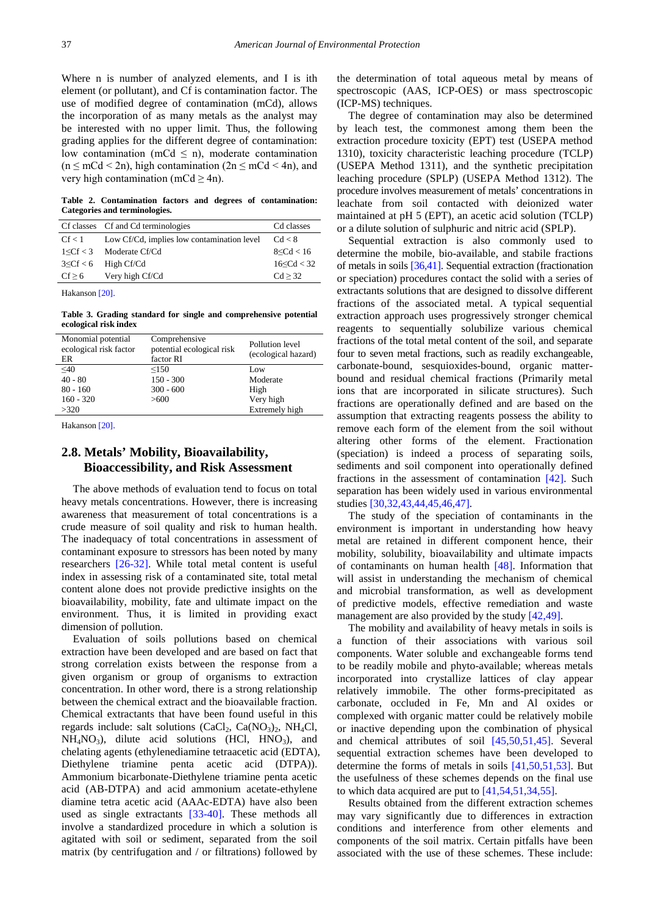Where n is number of analyzed elements, and I is ith element (or pollutant), and Cf is contamination factor. The use of modified degree of contamination (mCd), allows the incorporation of as many metals as the analyst may be interested with no upper limit. Thus, the following grading applies for the different degree of contamination: low contamination (mCd  $\leq$  n), moderate contamination  $(n \leq mCd < 2n)$ , high contamination  $(2n \leq mCd < 4n)$ , and very high contamination (mCd  $\geq$  4n).

**Table 2. Contamination factors and degrees of contamination: Categories and terminologies.**

<span id="page-3-0"></span>

|            | Cf classes Cf and Cd terminologies         | Cd classes   |
|------------|--------------------------------------------|--------------|
| Cf < 1     | Low Cf/Cd, implies low contamination level | Cd < 8       |
|            | $1 \leq Cf < 3$ Moderate Cf/Cd             | 8 < Cd < 16  |
|            | $3 \leq Cf < 6$ High Cf/Cd                 | 16 < Cd < 32 |
| $Cf \ge 6$ | Very high Cf/Cd                            | Cd > 32      |

Hakanso[n \[20\].](#page-5-13)

**Table 3. Grading standard for single and comprehensive potential ecological risk index**

<span id="page-3-1"></span>

| Monomial potential<br>ecological risk factor<br>ER | Comprehensive<br>potential ecological risk<br>factor RI | Pollution level<br>(ecological hazard) |
|----------------------------------------------------|---------------------------------------------------------|----------------------------------------|
| $\leq 40$                                          | < 150                                                   | Low                                    |
| $40 - 80$                                          | $150 - 300$                                             | Moderate                               |
| $80 - 160$                                         | $300 - 600$                                             | High                                   |
| $160 - 320$                                        | >600                                                    | Very high                              |
| >320                                               |                                                         | Extremely high                         |

Hakanso[n \[20\].](#page-5-13)

## **2.8. Metals' Mobility, Bioavailability, Bioaccessibility, and Risk Assessment**

The above methods of evaluation tend to focus on total heavy metals concentrations. However, there is increasing awareness that measurement of total concentrations is a crude measure of soil quality and risk to human health. The inadequacy of total concentrations in assessment of contaminant exposure to stressors has been noted by many researchers [\[26-32\].](#page-5-17) While total metal content is useful index in assessing risk of a contaminated site, total metal content alone does not provide predictive insights on the bioavailability, mobility, fate and ultimate impact on the environment. Thus, it is limited in providing exact dimension of pollution.

Evaluation of soils pollutions based on chemical extraction have been developed and are based on fact that strong correlation exists between the response from a given organism or group of organisms to extraction concentration. In other word, there is a strong relationship between the chemical extract and the bioavailable fraction. Chemical extractants that have been found useful in this regards include: salt solutions  $(CaCl<sub>2</sub>, Ca(NO<sub>3</sub>)<sub>2</sub>, NH<sub>4</sub>Cl,$  $NH<sub>4</sub>NO<sub>3</sub>$ , dilute acid solutions (HCl, HNO<sub>3</sub>), and chelating agents (ethylenediamine tetraacetic acid (EDTA), Diethylene triamine penta acetic acid (DTPA)). Ammonium bicarbonate-Diethylene triamine penta acetic acid (AB-DTPA) and acid ammonium acetate-ethylene diamine tetra acetic acid (AAAc-EDTA) have also been used as single extractants [\[33-40\].](#page-5-18) These methods all involve a standardized procedure in which a solution is agitated with soil or sediment, separated from the soil matrix (by centrifugation and / or filtrations) followed by

the determination of total aqueous metal by means of spectroscopic (AAS, ICP-OES) or mass spectroscopic (ICP-MS) techniques.

The degree of contamination may also be determined by leach test, the commonest among them been the extraction procedure toxicity (EPT) test (USEPA method 1310), toxicity characteristic leaching procedure (TCLP) (USEPA Method 1311), and the synthetic precipitation leaching procedure (SPLP) (USEPA Method 1312). The procedure involves measurement of metals' concentrations in leachate from soil contacted with deionized water maintained at pH 5 (EPT), an acetic acid solution (TCLP) or a dilute solution of sulphuric and nitric acid (SPLP).

Sequential extraction is also commonly used to determine the mobile, bio-available, and stabile fractions of metals in soils [\[36,41\].](#page-5-19) Sequential extraction (fractionation or speciation) procedures contact the solid with a series of extractants solutions that are designed to dissolve different fractions of the associated metal. A typical sequential extraction approach uses progressively stronger chemical reagents to sequentially solubilize various chemical fractions of the total metal content of the soil, and separate four to seven metal fractions, such as readily exchangeable, carbonate-bound, sesquioxides-bound, organic matterbound and residual chemical fractions (Primarily metal ions that are incorporated in silicate structures). Such fractions are operationally defined and are based on the assumption that extracting reagents possess the ability to remove each form of the element from the soil without altering other forms of the element. Fractionation (speciation) is indeed a process of separating soils, sediments and soil component into operationally defined fractions in the assessment of contamination [\[42\].](#page-6-0) Such separation has been widely used in various environmental studies [\[30,32,43,44,45,46,47\].](#page-5-20)

The study of the speciation of contaminants in the environment is important in understanding how heavy metal are retained in different component hence, their mobility, solubility, bioavailability and ultimate impacts of contaminants on human health [\[48\].](#page-6-1) Information that will assist in understanding the mechanism of chemical and microbial transformation, as well as development of predictive models, effective remediation and waste management are also provided by the stud[y \[42,49\].](#page-6-0)

The mobility and availability of heavy metals in soils is a function of their associations with various soil components. Water soluble and exchangeable forms tend to be readily mobile and phyto-available; whereas metals incorporated into crystallize lattices of clay appear relatively immobile. The other forms-precipitated as carbonate, occluded in Fe, Mn and Al oxides or complexed with organic matter could be relatively mobile or inactive depending upon the combination of physical and chemical attributes of soil [\[45,50,51,45\].](#page-6-2) Several sequential extraction schemes have been developed to determine the forms of metals in soils [\[41,50,51,53\].](#page-6-3) But the usefulness of these schemes depends on the final use to which data acquired are put to [\[41,54,51,34,55\].](#page-6-3)

Results obtained from the different extraction schemes may vary significantly due to differences in extraction conditions and interference from other elements and components of the soil matrix. Certain pitfalls have been associated with the use of these schemes. These include: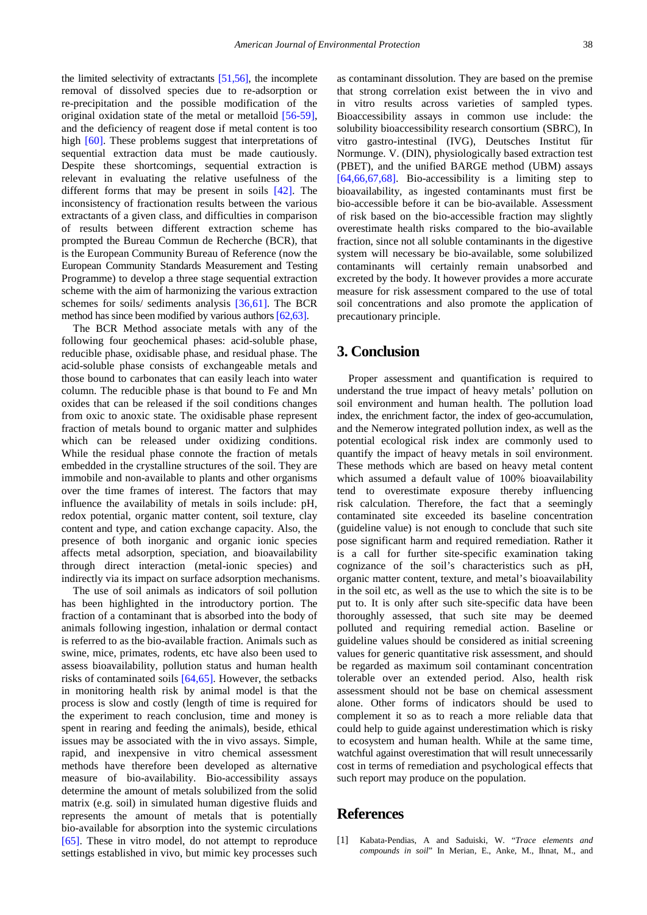the limited selectivity of extractants [\[51,56\],](#page-6-4) the incomplete removal of dissolved species due to re-adsorption or re-precipitation and the possible modification of the original oxidation state of the metal or metalloid [\[56-59\],](#page-6-5) and the deficiency of reagent dose if metal content is too high [\[60\].](#page-6-6) These problems suggest that interpretations of sequential extraction data must be made cautiously. Despite these shortcomings, sequential extraction is relevant in evaluating the relative usefulness of the different forms that may be present in soils [\[42\].](#page-6-0) The inconsistency of fractionation results between the various extractants of a given class, and difficulties in comparison of results between different extraction scheme has prompted the Bureau Commun de Recherche (BCR), that is the European Community Bureau of Reference (now the European Community Standards Measurement and Testing Programme) to develop a three stage sequential extraction scheme with the aim of harmonizing the various extraction schemes for soils/ sediments analysis [\[36,61\].](#page-5-19) The BCR method has since been modified by various author[s \[62,63\].](#page-6-7)

The BCR Method associate metals with any of the following four geochemical phases: acid-soluble phase, reducible phase, oxidisable phase, and residual phase. The acid-soluble phase consists of exchangeable metals and those bound to carbonates that can easily leach into water column. The reducible phase is that bound to Fe and Mn oxides that can be released if the soil conditions changes from oxic to anoxic state. The oxidisable phase represent fraction of metals bound to organic matter and sulphides which can be released under oxidizing conditions. While the residual phase connote the fraction of metals embedded in the crystalline structures of the soil. They are immobile and non-available to plants and other organisms over the time frames of interest. The factors that may influence the availability of metals in soils include: pH, redox potential, organic matter content, soil texture, clay content and type, and cation exchange capacity. Also, the presence of both inorganic and organic ionic species affects metal adsorption, speciation, and bioavailability through direct interaction (metal-ionic species) and indirectly via its impact on surface adsorption mechanisms.

The use of soil animals as indicators of soil pollution has been highlighted in the introductory portion. The fraction of a contaminant that is absorbed into the body of animals following ingestion, inhalation or dermal contact is referred to as the bio-available fraction. Animals such as swine, mice, primates, rodents, etc have also been used to assess bioavailability, pollution status and human health risks of contaminated soils [\[64,65\].](#page-6-8) However, the setbacks in monitoring health risk by animal model is that the process is slow and costly (length of time is required for the experiment to reach conclusion, time and money is spent in rearing and feeding the animals), beside, ethical issues may be associated with the in vivo assays. Simple, rapid, and inexpensive in vitro chemical assessment methods have therefore been developed as alternative measure of bio-availability. Bio-accessibility assays determine the amount of metals solubilized from the solid matrix (e.g. soil) in simulated human digestive fluids and represents the amount of metals that is potentially bio-available for absorption into the systemic circulations [\[65\].](#page-6-9) These in vitro model, do not attempt to reproduce settings established in vivo, but mimic key processes such

as contaminant dissolution. They are based on the premise that strong correlation exist between the in vivo and in vitro results across varieties of sampled types. Bioaccessibility assays in common use include: the solubility bioaccessibility research consortium (SBRC), In vitro gastro-intestinal (IVG), Deutsches Institut für Normunge. V. (DIN), physiologically based extraction test (PBET), and the unified BARGE method (UBM) assays [\[64,66,67,68\].](#page-6-8) Bio-accessibility is a limiting step to bioavailability, as ingested contaminants must first be bio-accessible before it can be bio-available. Assessment of risk based on the bio-accessible fraction may slightly overestimate health risks compared to the bio-available fraction, since not all soluble contaminants in the digestive system will necessary be bio-available, some solubilized contaminants will certainly remain unabsorbed and excreted by the body. It however provides a more accurate measure for risk assessment compared to the use of total soil concentrations and also promote the application of precautionary principle.

# **3. Conclusion**

Proper assessment and quantification is required to understand the true impact of heavy metals' pollution on soil environment and human health. The pollution load index, the enrichment factor, the index of geo-accumulation, and the Nemerow integrated pollution index, as well as the potential ecological risk index are commonly used to quantify the impact of heavy metals in soil environment. These methods which are based on heavy metal content which assumed a default value of 100% bioavailability tend to overestimate exposure thereby influencing risk calculation. Therefore, the fact that a seemingly contaminated site exceeded its baseline concentration (guideline value) is not enough to conclude that such site pose significant harm and required remediation. Rather it is a call for further site-specific examination taking cognizance of the soil's characteristics such as pH, organic matter content, texture, and metal's bioavailability in the soil etc, as well as the use to which the site is to be put to. It is only after such site-specific data have been thoroughly assessed, that such site may be deemed polluted and requiring remedial action. Baseline or guideline values should be considered as initial screening values for generic quantitative risk assessment, and should be regarded as maximum soil contaminant concentration tolerable over an extended period. Also, health risk assessment should not be base on chemical assessment alone. Other forms of indicators should be used to complement it so as to reach a more reliable data that could help to guide against underestimation which is risky to ecosystem and human health. While at the same time, watchful against overestimation that will result unnecessarily cost in terms of remediation and psychological effects that such report may produce on the population.

# **References**

<span id="page-4-0"></span>[1] Kabata-Pendias, A and Saduiski, W. "*Trace elements and compounds in soil*" In Merian, E., Anke, M., Ihnat, M., and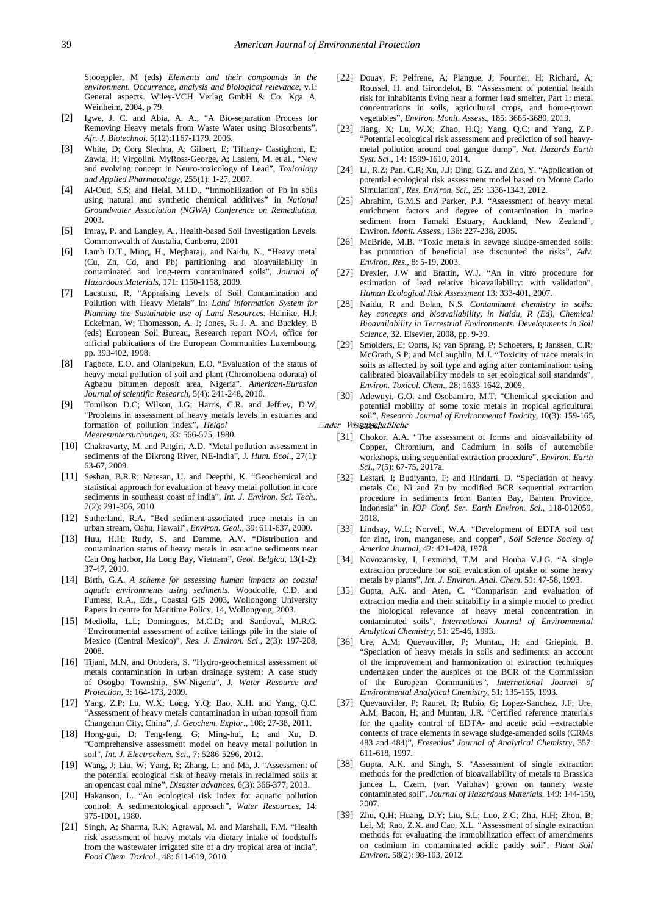Stooeppler, M (eds) *Elements and their compounds in the environment. Occurrence, analysis and biological relevance*, v.1: General aspects. Wiley-VCH Verlag GmbH & Co. Kga A, Weinheim, 2004, p 79.

- <span id="page-5-0"></span>[2] Igwe, J. C. and Abia, A. A., "A Bio-separation Process for Removing Heavy metals from Waste Water using Biosorbents", *Afr. J. Biotechnol.* 5(12):1167-1179, 2006.
- <span id="page-5-1"></span>[3] White, D; Corg Slechta, A; Gilbert, E; Tiffany- Castighoni, E; Zawia, H; Virgolini. MyRoss-George, A; Laslem, M. et al., "New and evolving concept in Neuro-toxicology of Lead", *Toxicology and Applied Pharmacology*, 255(1): 1-27, 2007.
- <span id="page-5-2"></span>[4] Al-Oud, S.S; and Helal, M.I.D., "Immobilization of Pb in soils using natural and synthetic chemical additives" in *National Groundwater Association (NGWA) Conference on Remediation*, 2003.
- <span id="page-5-3"></span>[5] Imray, P. and Langley, A., Health-based Soil Investigation Levels. Commonwealth of Austalia, Canberra, 2001
- [6] Lamb D.T., Ming, H., Megharaj., and Naidu, N., "Heavy metal (Cu, Zn, Cd, and Pb) partitioning and bioavailability in contaminated and long-term contaminated soils", *Journal of Hazardous Materials*, 171: 1150-1158, 2009.
- <span id="page-5-4"></span>[7] Lacatusu, R. "Appraising Levels of Soil Contamination and Pollution with Heavy Metals" In: *Land information System for Planning the Sustainable use of Land Resources*. Heinike, H.J; Eckelman, W; Thomasson, A. J; Jones, R. J. A. and Buckley, B (eds) European Soil Bureau, Research report NO.4, office for official publications of the European Communities Luxembourg, pp. 393-402, 1998.
- <span id="page-5-5"></span>[8] Fagbote, E.O. and Olanipekun, E.O. "Evaluation of the status of heavy metal pollution of soil and plant (Chromolaena odorata) of Agbabu bitumen deposit area, Nigeria". *American-Eurasian Journal of scientific Research*, 5(4): 241-248, 2010.
- <span id="page-5-6"></span>[9] Tomilson D.C; Wilson, J.G; Harris, C.R. and Jeffrey, D.W, "Problems in assessment of heavy metals levels in estuaries and formation of pollution index", *Helgol Meeresuntersuchungen*, 33: 566-575, 1980.
- [10] Chakravarty, M. and Patgiri, A.D. "Metal pollution assessment in sediments of the Dikrong River, NE-India", J*. Hum. Ecol*., 27(1): 63-67, 2009.
- [11] Seshan, B.R.R; Natesan, U. and Deepthi, K. "Geochemical and statistical approach for evaluation of heavy metal pollution in core sediments in southeast coast of india", *Int. J. Environ. Sci. Tech*., 7(2): 291-306, 2010.
- <span id="page-5-7"></span>[12] Sutherland, R.A. "Bed sediment-associated trace metals in an urban stream, Oahu, Hawail", *Environ. Geol*., 39: 611-637, 2000.
- <span id="page-5-10"></span>[13] Huu, H.H; Rudy, S. and Damme, A.V. "Distribution and contamination status of heavy metals in estuarine sediments near Cau Ong harbor, Ha Long Bay, Vietnam", *Geol. Belgica*, 13(1-2): 37-47, 2010.
- <span id="page-5-8"></span>[14] Birth, G.A. *A scheme for assessing human impacts on coastal aquatic environments using sediments*. Woodcoffe, C.D. and Fumess, R.A., Eds., Coastal GIS 2003, Wollongong University Papers in centre for Maritime Policy, 14, Wollongong, 2003.
- <span id="page-5-9"></span>[15] Mediolla, L.L; Domingues, M.C.D; and Sandoval, M.R.G. "Environmental assessment of active tailings pile in the state of Mexico (Central Mexico)", *Res. J. Environ. Sci*., 2(3): 197-208, 2008.
- [16] Tijani, M.N. and Onodera, S. "Hydro-geochemical assessment of metals contamination in urban drainage system: A case study of Osogbo Township, SW-Nigeria", J*. Water Resource and Protection*, 3: 164-173, 2009.
- <span id="page-5-11"></span>[17] Yang, Z.P; Lu, W.X; Long, Y.Q; Bao, X.H. and Yang, Q.C. "Assessment of heavy metals contamination in urban topsoil from Changchun City, China", *J. Geochem. Explor.*, 108; 27-38, 2011.
- <span id="page-5-12"></span>[18] Hong-gui, D; Teng-feng, G; Ming-hui, L; and Xu, D. "Comprehensive assessment model on heavy metal pollution in soil", *Int. J. Electrochem. Sci.*, 7: 5286-5296, 2012.
- [19] Wang, J; Liu, W; Yang, R; Zhang, L; and Ma, J. "Assessment of the potential ecological risk of heavy metals in reclaimed soils at an opencast coal mine", *Disaster advances*, 6(3): 366-377, 2013.
- <span id="page-5-13"></span>[20] Hakanson, L. "An ecological risk index for aquatic pollution control: A sedimentological approach", *Water Resources*, 14: 975-1001, 1980.
- <span id="page-5-14"></span>[21] Singh, A; Sharma, R.K; Agrawal, M. and Marshall, F.M. "Health risk assessment of heavy metals via dietary intake of foodstuffs from the wastewater irrigated site of a dry tropical area of india", *Food Chem. Toxicol*., 48: 611-619, 2010.
- [22] Douay, F; Pelfrene, A; Plangue, J; Fourrier, H; Richard, A; Roussel, H. and Girondelot, B. "Assessment of potential health risk for inhabitants living near a former lead smelter, Part 1: metal concentrations in soils, agricultural crops, and home-grown vegetables", *Environ. Monit. Assess*., 185: 3665-3680, 2013.
- [23] Jiang, X; Lu, W.X; Zhao, H.Q; Yang, Q.C; and Yang, Z.P. "Potential ecological risk assessment and prediction of soil heavymetal pollution around coal gangue dump", *Nat. Hazards Earth Syst. Sci*., 14: 1599-1610, 2014.
- <span id="page-5-15"></span>[24] Li, R.Z; Pan, C.R; Xu, J.J; Ding, G.Z. and Zuo, Y. "Application of potential ecological risk assessment model based on Monte Carlo Simulation", *Res. Environ. Sci*., 25: 1336-1343, 2012.
- <span id="page-5-16"></span>[25] Abrahim, G.M.S and Parker, P.J. "Assessment of heavy metal enrichment factors and degree of contamination in marine sediment from Tamaki Estuary, Auckland, New Zealand", Environ*. Monit. Assess*., 136: 227-238, 2005.
- <span id="page-5-17"></span>[26] McBride, M.B. "Toxic metals in sewage sludge-amended soils: has promotion of beneficial use discounted the risks", *Adv. Environ. Res.*, 8: 5-19, 2003.
- [27] Drexler, J.W and Brattin, W.J. "An in vitro procedure for estimation of lead relative bioavailability: with validation", *Human Ecological Risk Assessment* 13: 333-401, 2007.
- [28] Naidu, R and Bolan, N.S. *Contaminant chemistry in soils: key concepts and bioavailability, in Naidu, R (Ed), Chemical Bioavailability in Terrestrial Environments. Developments in Soil Science,* 32. Elsevier, 2008, pp. 9-39.
- [29] Smolders, E; Oorts, K; van Sprang, P; Schoeters, I; Janssen, C.R; McGrath, S.P; and McLaughlin, M.J. "Toxicity of trace metals in soils as affected by soil type and aging after contamination: using calibrated bioavailability models to set ecological soil standards", *Environ. Toxicol. Chem*., 28: 1633-1642, 2009.
- <span id="page-5-20"></span><span id="page-5-19"></span><span id="page-5-18"></span>[30] Adewuyi, G.O. and Osobamiro, M.T. "Chemical speciation and potential mobility of some toxic metals in tropical agricultural soil", *Research Journal of Environmental Toxicity*, 10(3): 159-165, *□nder Wissenschafiliche* 
	- [31] Chokor, A.A. "The assessment of forms and bioavailability of Copper, Chromium, and Cadmium in soils of automobile workshops, using sequential extraction procedure", *Environ. Earth Sci*., 7(5): 67-75, 2017a.
	- [32] Lestari, I; Budiyanto, F; and Hindarti, D. "Speciation of heavy metals Cu, Ni and Zn by modified BCR sequential extraction procedure in sediments from Banten Bay, Banten Province, Indonesia" in *IOP Conf. Ser. Earth Environ. Sci*., 118-012059, 2018.
	- [33] Lindsay, W.L; Norvell, W.A. "Development of EDTA soil test for zinc, iron, manganese, and copper", *Soil Science Society of America Journal*, 42: 421-428, 1978.
	- [34] Novozamsky, I, Lexmond, T.M. and Houba V.J.G. "A single extraction procedure for soil evaluation of uptake of some heavy metals by plants", *Int. J. Environ. Anal. Chem*. 51: 47-58, 1993.
	- [35] Gupta, A.K. and Aten, C. "Comparison and evaluation of extraction media and their suitability in a simple model to predict the biological relevance of heavy metal concentration in contaminated soils", *International Journal of Environmental Analytical Chemistry,* 51: 25-46, 1993.
	- [36] Ure, A.M; Quevauviller, P; Muntau, H; and Griepink, B. "Speciation of heavy metals in soils and sediments: an account of the improvement and harmonization of extraction techniques undertaken under the auspices of the BCR of the Commission of the European Communities". *International Journal of Environmental Analytical Chemistry*, 51: 135-155, 1993.
	- [37] Quevauviller, P; Rauret, R; Rubio, G; Lopez-Sanchez, J.F; Ure, A.M; Bacon, H; and Muntau, J.R. "Certified reference materials for the quality control of EDTA- and acetic acid –extractable contents of trace elements in sewage sludge-amended soils (CRMs 483 and 484)", *Fresenius' Journal of Analytical Chemistry*, 357: 611-618, 1997.
	- [38] Gupta, A.K. and Singh, S. "Assessment of single extraction methods for the prediction of bioavailability of metals to Brassica juncea L. Czern. (var. Vaibhav) grown on tannery waste contaminated soil", *Journal of Hazardous Materials*, 149: 144-150, 2007.
	- [39] Zhu, Q.H; Huang, D.Y; Liu, S.L; Luo, Z.C; Zhu, H.H; Zhou, B; Lei, M; Rao, Z.X. and Cao, X.L. "Assessment of single extraction methods for evaluating the immobilization effect of amendments on cadmium in contaminated acidic paddy soil", *Plant Soil Environ*. 58(2): 98-103, 2012.